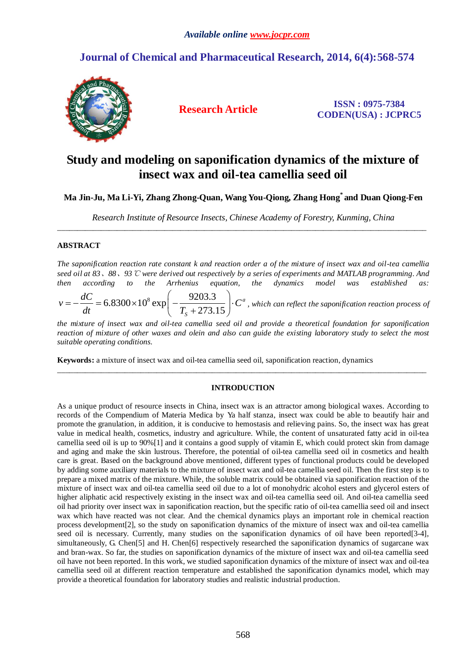# **Journal of Chemical and Pharmaceutical Research, 2014, 6(4):568-574**



**Research Article ISSN : 0975-7384 CODEN(USA) : JCPRC5**

# **Study and modeling on saponification dynamics of the mixture of insect wax and oil-tea camellia seed oil**

# **Ma Jin-Ju, Ma Li-Yi, Zhang Zhong-Quan, Wang You-Qiong, Zhang Hong\* and Duan Qiong-Fen**

*Research Institute of Resource Insects, Chinese Academy of Forestry, Kunming, China* \_\_\_\_\_\_\_\_\_\_\_\_\_\_\_\_\_\_\_\_\_\_\_\_\_\_\_\_\_\_\_\_\_\_\_\_\_\_\_\_\_\_\_\_\_\_\_\_\_\_\_\_\_\_\_\_\_\_\_\_\_\_\_\_\_\_\_\_\_\_\_\_\_\_\_\_\_\_\_\_\_\_\_\_\_\_\_\_\_\_\_\_\_

## **ABSTRACT**

*The saponification reaction rate constant k and reaction order a of the mixture of insect wax and oil-tea camellia seed oil at 83*、*88*、*93*℃ *were derived out respectively by a series of experiments and MATLAB programming. And then according to the Arrhenius equation, the dynamics model was established as:* 

\n See a bit at 85, 88, 95 C were derived out respectively by a series of experiments and MATLAB programming. And then according to the Arrhenius equation, the dynamics model was established as:\n 
$$
v = -\frac{dC}{dt} = 6.8300 \times 10^8 \exp\left(-\frac{9203.3}{T_s + 273.15}\right) \cdot C^a
$$
,\n which can reflect the saponification reaction process of the system is given by the following equation.\n

*the mixture of insect wax and oil-tea camellia seed oil and provide a theoretical foundation for saponification reaction of mixture of other waxes and olein and also can guide the existing laboratory study to select the most suitable operating conditions.*

**Keywords:** a mixture of insect wax and oil-tea camellia seed oil, saponification reaction, dynamics

## **INTRODUCTION**

\_\_\_\_\_\_\_\_\_\_\_\_\_\_\_\_\_\_\_\_\_\_\_\_\_\_\_\_\_\_\_\_\_\_\_\_\_\_\_\_\_\_\_\_\_\_\_\_\_\_\_\_\_\_\_\_\_\_\_\_\_\_\_\_\_\_\_\_\_\_\_\_\_\_\_\_\_\_\_\_\_\_\_\_\_\_\_\_\_\_\_\_\_

As a unique product of resource insects in China, insect wax is an attractor among biological waxes. According to records of the Compendium of Materia Medica by Ya half stanza, insect wax could be able to beautify hair and promote the granulation, in addition, it is conducive to [hemostasis](javascript:showjdsw() and relieving pains. So, the insect wax has great value in medical health, cosmetics, industry and agriculture. While, the content of unsaturated fatty acid in oil-tea camellia seed oil is up to 90%[1] and it contains a good supply of vitamin E, which could protect skin from damage and aging and make the skin lustrous. Therefore, the potential of oil-tea camellia seed oil in cosmetics and health care is great. Based on the background above mentioned, different types of functional products could be developed by adding som[e auxiliary materials](javascript:showjdsw() to the mixture of insect wax and oil-tea camellia seed oil. Then the first step is to prepare a mixed matrix of the mixture. While, the soluble matrix could be obtained via saponification reaction of the mixture of insect wax and oil-tea camellia seed oil due to a lot of monohydric alcohol esters and glycerol esters of higher aliphatic acid respectively existing in the insect wax and oil-tea camellia seed oil. And oil-tea camellia seed oil had [priority](http://www.jukuu.com/show-priority-0.html) over insect wax in saponification reaction, but the specific ratio of oil-tea camellia seed oil and insect wax which have reacted was not clear. And the chemical dynamics plays an important role in chemical reaction process development[2], so the study on saponification dynamics of the mixture of insect wax and oil-tea camellia seed oil is necessary. Currently, many studies on the saponification dynamics of oil have been reported[3-4], simultaneously, G. Chen<sup>[5]</sup> and H. Chen<sup>[6]</sup> respectively researched the saponification dynamics of sugarcane wax and bran-wax. So far, the studies on saponification dynamics of the mixture of insect wax and oil-tea camellia seed oil have not been reported. In this work, we studied saponification dynamics of the mixture of insect wax and oil-tea camellia seed oil at different reaction temperature and established the saponification dynamics model, which may provide a theoretical foundation for laboratory studies and realistic industrial production.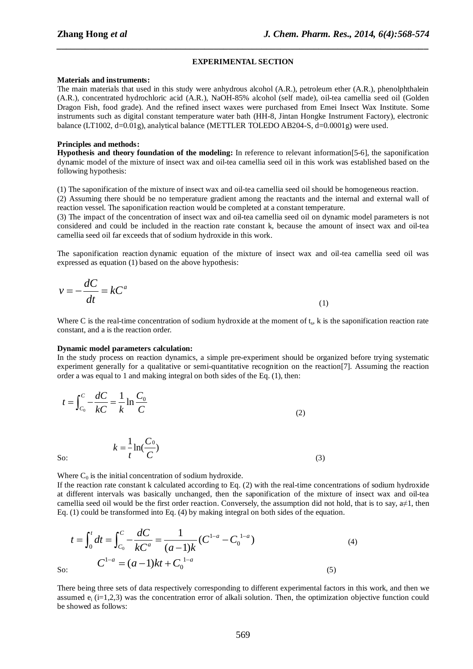#### **EXPERIMENTAL SECTION**

*\_\_\_\_\_\_\_\_\_\_\_\_\_\_\_\_\_\_\_\_\_\_\_\_\_\_\_\_\_\_\_\_\_\_\_\_\_\_\_\_\_\_\_\_\_\_\_\_\_\_\_\_\_\_\_\_\_\_\_\_\_\_\_\_\_\_\_\_\_\_\_\_\_\_\_\_\_\_*

#### **Materials and instruments:**

The main materials that used in this study were anhydrous alcohol (A.R.), [petroleum ether](javascript:showjdsw() (A.R.), [phenolphthalein](javascript:showjdsw() (A.R.), [concentrated hydrochloric acid](javascript:showjdsw() (A.R.), NaOH-85% alcohol (self made), oil-tea camellia seed oil (Golden Dragon Fish, food grade). And the refined insect waxes were purchased from Emei Insect Wax Institute. Some instruments such as digital constant temperature water bath (HH-8, Jintan Hongke Instrument Factory), electronic balance (LT1002, d=0.01g), analytical balance (METTLER TOLEDO AB204-S, d=0.0001g) were used.

#### **Principles and methods:**

**Hypothesis and theory foundation of the modeling:** In reference to relevant information[5-6], the saponification dynamic model of the mixture of insect wax and oil-tea camellia seed oil in this work was established based on the following hypothesis:

(1) The saponification of the mixture of insect wax and oil-tea camellia seed oil should be homogeneous reaction.

(2) Assuming there should be no temperature gradient among the reactants and the internal and external wall of reaction vessel. The saponification reaction would be completed at a constant temperature.

(3) The impact of the concentration of insect wax and oil-tea camellia seed oil on dynamic model parameters is not considered and could be included in the reaction rate constant k, because the amount of insect wax and oil-tea camellia seed oil far exceeds that of sodium hydroxide in this work.

The saponification reaction [dynamic equation](javascript:showjdsw() of the mixture of insect wax and oil-tea camellia seed oil was expressed as equation (1) based on the above hypothesis:

$$
v = -\frac{dC}{dt} = kC^a \tag{1}
$$

Where C is the real-time concentration of sodium hydroxide at the moment of  $t_s$ ,  $k$  is the saponification reaction rate constant, and a is the reaction order.

#### **Dynamic model parameters calculation:**

In the study process on reaction dynamics, a simple pre-experiment should be organized before trying systematic experiment generally for a qualitative or semi-quantitative [recognition](javascript:showjdsw() on the reaction[7]. Assuming the reaction order a was equal to 1 and making integral on both sides of the Eq. (1), then:

$$
t = \int_{C_0}^{C} -\frac{dC}{kC} = \frac{1}{k} \ln \frac{C_0}{C}
$$
 (2)

So:

Where  $C_0$  is the initial concentration of sodium hydroxide.

 $k = \frac{1}{2} \ln(\frac{C_0}{C})$  $t$ <sup>- $\sim$ </sup> $C$ 

 $=$ 

If the reaction rate constant k calculated according to Eq. (2) with the real-time concentrations of sodium hydroxide at different intervals was basically unchanged, then the saponification of the mixture of insect wax and oil-tea camellia seed oil would be the first order reaction. [Conversely,](javascript:showjdsw() the assumption did not hold, that is to say,  $a \neq 1$ , then

(3)

Eq. (1) could be transformed into Eq. (4) by making integral on both sides of the equation.  
\n
$$
t = \int_0^t dt = \int_{C_0}^c -\frac{dC}{kC^a} = \frac{1}{(a-1)k} (C^{1-a} - C_0^{1-a})
$$
\n
$$
C^{1-a} = (a-1)kt + C_0^{1-a}
$$
\n(5)

So:

There being three sets of data respectively corresponding to different experimental factors in this work, and then we assumed  $e_i$  (i=1,2,3) was the concentration error of alkali solution. Then, the optimization objective function could be showed as follows: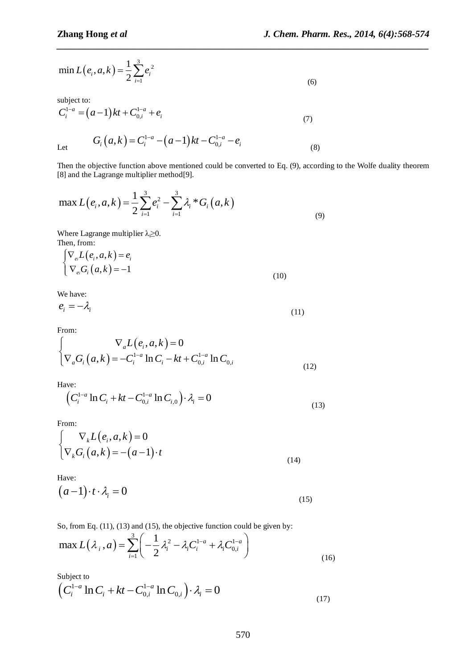(8)

$$
\min L(e_i, a, k) = \frac{1}{2} \sum_{i=1}^{3} e_i^2
$$
\n(6)

subject to:

$$
C_i^{1-a} = (a-1)kt + C_{0,i}^{1-a} + e_i
$$
  
\n
$$
G_i(a,k) = C_i^{1-a} - (a-1)kt - C_{0,i}^{1-a} - e_i
$$
 (7)

Let

Then the objective function above mentioned could be converted to Eq. (9), according to the Wolfe duality theorem

*\_\_\_\_\_\_\_\_\_\_\_\_\_\_\_\_\_\_\_\_\_\_\_\_\_\_\_\_\_\_\_\_\_\_\_\_\_\_\_\_\_\_\_\_\_\_\_\_\_\_\_\_\_\_\_\_\_\_\_\_\_\_\_\_\_\_\_\_\_\_\_\_\_\_\_\_\_\_*

[8] and the Lagrange multiplier method[9].  
\n
$$
\max L(e_i, a, k) = \frac{1}{2} \sum_{i=1}^{3} e_i^2 - \sum_{i=1}^{3} \lambda_i * G_i (a, k)
$$
\n(9)

Where Lagrange multiplier  $\lambda_i \geq 0$ . Then, from:

$$
\begin{cases} \nabla_{e_i} L(e_i, a, k) = e_i \\ \nabla_{e_i} G_i (a, k) = -1 \end{cases}
$$
\n(10)

We have:

$$
e_i = -\lambda_i \tag{11}
$$

From:

From:  
\n
$$
\begin{cases}\n\nabla_a L(e_i, a, k) = 0 \\
\nabla_a G_i (a, k) = -C_i^{1-a} \ln C_i - kt + C_{0,i}^{1-a} \ln C_{0,i}\n\end{cases}
$$
\n(12)

Have:

$$
\left(C_i^{1-a} \ln C_i + kt - C_{0,i}^{1-a} \ln C_{i,0}\right) \cdot \lambda_i = 0
$$
\n(13)

From:

min L(
$$
e_i, a, k
$$
) =  $\frac{1}{2} \sum_{i=1}^{n} e_i^2$   
\nsubject to:  
\n
$$
C_i^{1-a} = (a-1)kt + C_{0,i}^{1-a} + e_i
$$
\nLet  $G_i (a, k) = C_i^{1-a} - (a-1)kt - C_{0,i}^{1-a} - e_i$   
\nThen the objective function above mentioned could be converted to Eq. (9), a  
\n[8] and the Lagrange multiplier method[9].  
\nmax L( $e_i, a, k$ ) =  $\frac{1}{2} \sum_{i=1}^{3} e_i^2 - \sum_{i=1}^{3} \lambda_i * G_i (a, k)$   
\nWhere Lagrange multiplier  $\lambda \ge 0$ .  
\nThen, from:  
\n[ $\nabla_e L(e_i, a, k) = e_i$   
\n $\nabla_e G_i (a, k) = -1$  (10)  
\nWe have:  
\n $e_i = -\lambda_i$  (11)  
\nFrom:  
\n[ $\nabla_e L(e_i, a, k) = 0$   
\n $\nabla_a G_i (a, k) = -C_i^{1-a} \ln C_i - kt + C_{0,i}^{1-a} \ln C_{0,i}$   
\nHave:  
\n( $C_i^{1-a} \ln C_i + kt - C_{0,i}^{1-a} \ln C_{i,0}$ )  $\cdot \lambda_i = 0$   
\nFrom:  
\n[ $\nabla_k L(e_i, a, k) = 0$   
\nFrom:  
\n[ $\nabla_k L(e_i, a, k) = 0$   
\nFrom:  
\n[ $\nabla_k L(e_i, a, k) = 0$   
\nFrom:  
\n[ $\nabla_k L(e_i, a, k) = -a - 1$ )  $\cdot t$  (14)  
\nHave:  
\n( $a - 1$ )  $\cdot t \cdot \lambda_i = 0$   
\nSo, from Eq. (11), (13) and (15), the objective function could be given by:  
\nmax  $L(\lambda_i, a) = \sum_{i=1}^{3} \left(-\frac{1}{2} \lambda_i^2 - \lambda_i C_i^{1-a} + \lambda_i C_{0,i}^{1-a}\right)$   
\nSubject to  
\n( $C_i^{1-a} \ln C_i + kt - C_{0,i}^{1-a} \ln C_{0,i$ 

Have:

$$
(a-1)\cdot t \cdot \lambda_i = 0 \tag{15}
$$

So, from Eq. (11), (13) and (15), the objective function could be given by:  
\n
$$
\max L(\lambda_i, a) = \sum_{i=1}^{3} \left( -\frac{1}{2} \lambda_i^2 - \lambda_i C_i^{1-a} + \lambda_i C_{0,i}^{1-a} \right)
$$
\n(16)

Subject to

Subject to  
\n
$$
\left(C_i^{1-a}\ln C_i + kt - C_{0,i}^{1-a}\ln C_{0,i}\right) \cdot \lambda_i = 0
$$
\n(17)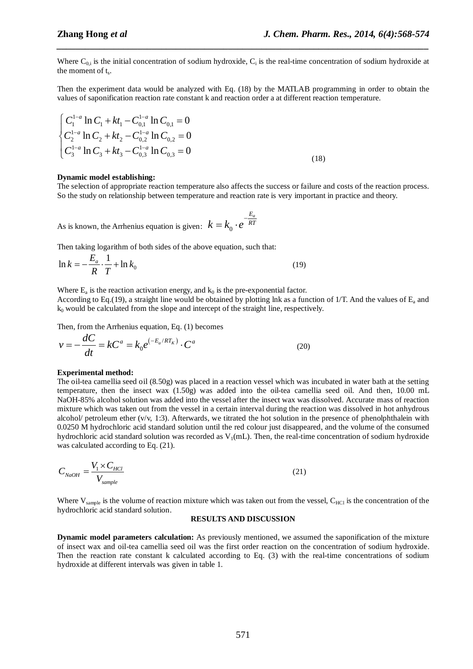Where  $C_{0,i}$  is the initial concentration of sodium hydroxide,  $C_i$  is the real-time concentration of sodium hydroxide at the moment of t<sub>s</sub>.

*\_\_\_\_\_\_\_\_\_\_\_\_\_\_\_\_\_\_\_\_\_\_\_\_\_\_\_\_\_\_\_\_\_\_\_\_\_\_\_\_\_\_\_\_\_\_\_\_\_\_\_\_\_\_\_\_\_\_\_\_\_\_\_\_\_\_\_\_\_\_\_\_\_\_\_\_\_\_*

Then the experiment data would be analyzed with Eq. (18) by the MATLAB programming in order to obtain the values of saponification reaction rate constant k and reaction order a at different reaction temperature.

$$
\begin{cases}\nC_1^{1-a} \ln C_1 + kt_1 - C_{0,1}^{1-a} \ln C_{0,1} = 0 \\
C_2^{1-a} \ln C_2 + kt_2 - C_{0,2}^{1-a} \ln C_{0,2} = 0 \\
C_3^{1-a} \ln C_3 + kt_3 - C_{0,3}^{1-a} \ln C_{0,3} = 0\n\end{cases}
$$
\n(18)

#### **Dynamic model establishing:**

The selection of appropriate reaction temperature also affects the success or failure and costs of the reaction process. So the study on relationship between temperature and reaction rate is very important in practice and theory.

As is known, the Arrhenius equation is given:  $k = k_0$ *Ea*  $k = k_0 \cdot e^{-\frac{E_a}{RT}}$ 

Then taking logarithm of both sides of the above equation, such that:

$$
\ln k = -\frac{E_a}{R} \cdot \frac{1}{T} + \ln k_0 \tag{19}
$$

Where  $E_a$  is the reaction activation energy, and  $k_0$  is the pre-exponential factor. According to Eq.(19), a straight line would be obtained by plotting lnk as a function of 1/T. And the values of  $E_a$  and  $k_0$  would be calculated from the slope and intercept of the straight line, respectively.

Then, from the Arrhenius equation, Eq. (1) becomes

$$
v = -\frac{dC}{dt} = kC^a = k_0 e^{(-E_a/RT_K)} \cdot C^a
$$
 (20)

#### **Experimental method:**

The oil-tea camellia seed oil (8.50g) was placed in a reaction vessel which was incubated in water bath at the setting temperature, then the insect wax (1.50g) was added into the oil-tea camellia seed oil. And then, 10.00 mL NaOH-85% alcohol solution was added into the vessel after the insect wax was dissolved. Accurate mass of reaction mixture which was taken out from the vessel in a certain interval during the reaction was dissolved in hot anhydrous alcohol/ [petroleum ether](javascript:showjdsw()  $(v/v, 1:3)$ . Afterwards, we [titrated](http://www.jukuu.com/show-Titrate-0.html) the hot solution in the presence of [phenolphthalein](http://www.jukuu.com/show-phenolphthalein-0.html) with 0.0250 M hydrochloric acid standard solution until the red colour just disappeared, and the volume of the consumed hydrochloric acid standard solution was recorded as  $V_1(mL)$ . Then, the real-time concentration of sodium hydroxide was calculated according to Eq.  $(21)$ .

$$
C_{NaOH} = \frac{V_1 \times C_{HCl}}{V_{sample}}
$$
 (21)

Where  $V_{sample}$  is the volume of reaction mixture which was taken out from the vessel,  $C_{HC}$  is the concentration of the hydrochloric acid standard solution.

#### **RESULTS AND DISCUSSION**

**Dynamic model parameters calculation:** As previously mentioned, we assumed the saponification of the mixture of insect wax and oil-tea camellia seed oil was the first order reaction on the concentration of sodium hydroxide. Then the reaction rate constant k calculated according to Eq. (3) with the real-time concentrations of sodium hydroxide at different intervals was given in table 1.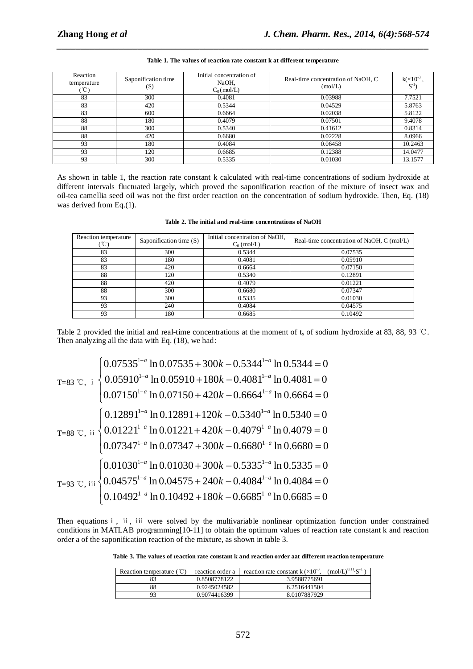| Reaction<br>temperature<br>$^{\circ}$ C) | Saponification time<br>(S) | Initial concentration of<br>NaOH,<br>$C_0$ (mol/L) | Real-time concentration of NaOH, C<br>(mol/L) | $k( \times 10^{-3}$<br>$S^{-1}$ |
|------------------------------------------|----------------------------|----------------------------------------------------|-----------------------------------------------|---------------------------------|
| 83                                       | 300                        | 0.4081                                             | 0.03988                                       | 7.7521                          |
| 83                                       | 420                        | 0.5344                                             | 0.04529                                       | 5.8763                          |
| 83                                       | 600                        | 0.6664                                             | 0.02038                                       | 5.8122                          |
| 88                                       | 180                        | 0.4079                                             | 0.07501                                       | 9.4078                          |
| 88                                       | 300                        | 0.5340                                             | 0.41612                                       | 0.8314                          |
| 88                                       | 420                        | 0.6680                                             | 0.02228                                       | 8.0966                          |
| 93                                       | 180                        | 0.4084                                             | 0.06458                                       | 10.2463                         |
| 93                                       | 120                        | 0.6685                                             | 0.12388                                       | 14.0477                         |
| 93                                       | 300                        | 0.5335                                             | 0.01030                                       | 13.1577                         |

# *\_\_\_\_\_\_\_\_\_\_\_\_\_\_\_\_\_\_\_\_\_\_\_\_\_\_\_\_\_\_\_\_\_\_\_\_\_\_\_\_\_\_\_\_\_\_\_\_\_\_\_\_\_\_\_\_\_\_\_\_\_\_\_\_\_\_\_\_\_\_\_\_\_\_\_\_\_\_* **Table 1. The values of reaction rate constant k at different temperature**

As shown in table 1, the reaction rate constant k calculated with real-time concentrations of sodium hydroxide at different intervals fluctuated largely, which proved the saponification reaction of the mixture of insect wax and oil-tea camellia seed oil was not the first order reaction on the concentration of sodium hydroxide. Then, Eq. (18) was derived from Eq.(1).

| Reaction temperature | Saponification time (S) | Initial concentration of NaOH,<br>$C_0$ (mol/L) | Real-time concentration of NaOH, C (mol/L) |
|----------------------|-------------------------|-------------------------------------------------|--------------------------------------------|
| 83                   | 300                     | 0.5344                                          | 0.07535                                    |
| 83                   | 180                     | 0.4081                                          | 0.05910                                    |
| 83                   | 420                     | 0.6664                                          | 0.07150                                    |
| 88                   | 120                     | 0.5340                                          | 0.12891                                    |
| 88                   | 420                     | 0.4079                                          | 0.01221                                    |
| 88                   | 300                     | 0.6680                                          | 0.07347                                    |
| 93                   | 300                     | 0.5335                                          | 0.01030                                    |
| 93                   | 240                     | 0.4084                                          | 0.04575                                    |
| 93                   | 180                     | 0.6685                                          | 0.10492                                    |

Table 2 provided the initial and real-time concentrations at the moment of t<sub>s</sub> of sodium hydroxide at 83, 88, 93 °C.

Then analyzing all the data with Eq. (18), we had:\n
$$
T=83 \text{ °C}, \text{ i } \begin{cases}\n0.07535^{1-a} \ln 0.07535 + 300k - 0.5344^{1-a} \ln 0.5344 = 0 \\
0.05910^{1-a} \ln 0.05910 + 180k - 0.4081^{1-a} \ln 0.4081 = 0 \\
0.07150^{1-a} \ln 0.07150 + 420k - 0.6664^{1-a} \ln 0.6664 = 0\n\end{cases}
$$
\n
$$
T=88 \text{ °C}, \text{ ii } \begin{cases}\n0.12891^{1-a} \ln 0.12891 + 120k - 0.5340^{1-a} \ln 0.5340 = 0 \\
0.01221^{1-a} \ln 0.01221 + 420k - 0.4079^{1-a} \ln 0.4079 = 0 \\
0.07347^{1-a} \ln 0.07347 + 300k - 0.6680^{1-a} \ln 0.6680 = 0\n\end{cases}
$$
\n
$$
T=93 \text{ °C}, \text{ iii } \begin{cases}\n0.01030^{1-a} \ln 0.01030 + 300k - 0.5335^{1-a} \ln 0.5335 = 0 \\
0.04575^{1-a} \ln 0.04575 + 240k - 0.4084^{1-a} \ln 0.4084 = 0 \\
0.10492^{1-a} \ln 0.10492 + 180k - 0.6685^{1-a} \ln 0.6685 = 0\n\end{cases}
$$

Then equations i, ii, iii were solved by the multivariable nonlinear optimization function under constrained conditions in MATLAB programming[10-11] to obtain the optimum values of reaction rate constant k and reaction order a of the saponification reaction of the mixture, as shown in table 3.

**Table 3. The values of reaction rate constant k and reaction order aat different reaction temperature**

| Reaction temperature ( | reaction order a | $\text{(mol/L)}^{0.11}$ S <sup>-1</sup><br>reaction rate constant k $(\times 10^{-3})$ . |
|------------------------|------------------|------------------------------------------------------------------------------------------|
|                        | 0.8508778122     | 3.9588775691                                                                             |
| 88                     | 0.9245024582     | 6.2516441504                                                                             |
| 93                     | 0.9074416399     | 8.0107887929                                                                             |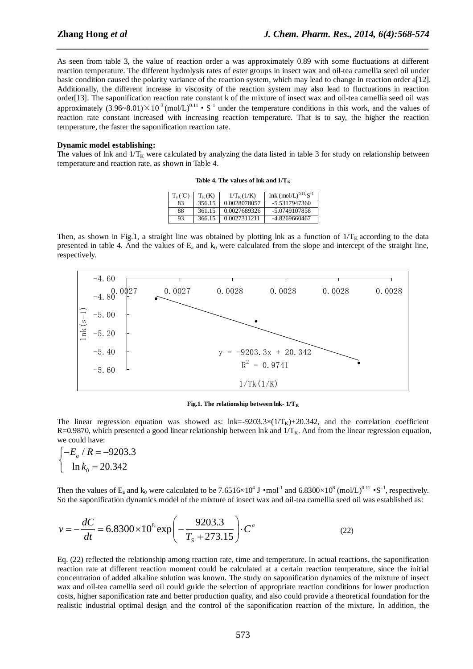As seen from table 3, the value of reaction order a was approximately 0.89 with some fluctuations at different reaction temperature. The different hydrolysis rates of ester groups in insect wax and oil-tea camellia seed oil under basic condition caused the polarity variance of the reaction system, which may lead to change in reaction order a[12]. Additionally, the different increase in viscosity of the reaction system may also lead to fluctuations in reaction order[13]. The saponification reaction rate constant k of the mixture of insect wax and oil-tea camellia seed oil was approximately  $(3.96-8.01)\times 10^{-3}$  (mol/L)<sup>0.11</sup> • S<sup>-1</sup> under the temperature conditions in this work, and the values of reaction rate constant increased with increasing reaction temperature. That is to say, the higher the reaction temperature, the faster the saponification reaction rate.

*\_\_\_\_\_\_\_\_\_\_\_\_\_\_\_\_\_\_\_\_\_\_\_\_\_\_\_\_\_\_\_\_\_\_\_\_\_\_\_\_\_\_\_\_\_\_\_\_\_\_\_\_\_\_\_\_\_\_\_\_\_\_\_\_\_\_\_\_\_\_\_\_\_\_\_\_\_\_*

#### **Dynamic model establishing:**

The values of lnk and  $1/T_K$  were calculated by analyzing the data listed in table 3 for study on relationship between temperature and reaction rate, as shown in Table 4.

| Table 4. The values of lnk and $1/T_K$ |  |  |  |
|----------------------------------------|--|--|--|
|----------------------------------------|--|--|--|

| $T_{\circ}$ ( $^{\circ}$ C $^{\circ}$ | $T_{K}(K)$ | $1/T_{K}(1/K)$ | $lnk (mol/L)^{0.11} S^{-1}$ |
|---------------------------------------|------------|----------------|-----------------------------|
| 83                                    | 356.15     | 0.0028078057   | $-5.5317947360$             |
| 88                                    | 361.15     | 0.0027689326   | -5.0749107858               |
| 93                                    | 366.15     | 0.0027311211   | -4.8269660467               |

Then, as shown in Fig.1, a straight line was obtained by plotting lnk as a function of  $1/T_K$  according to the data presented in table 4. And the values of  $E_a$  and  $k_0$  were calculated from the slope and intercept of the straight line, respectively.



**Fig.1. The relationship between lnk- 1/T<sup>K</sup>**

The linear regression equation was showed as: lnk=-9203.3×( $1/T_K$ )+20.342, and the correlation coefficient R=0.9870, which presented a good linear relationship between lnk and  $1/T_K$ . And from the linear regression equation, we could have:

$$
\begin{cases}\n-E_a / R = -9203.3 \\
\ln k_0 = 20.342\n\end{cases}
$$

Then the values of  $E_a$  and  $k_0$  were calculated to be 7.6516×10<sup>4</sup> J •mol<sup>-1</sup> and 6.8300×10<sup>8</sup> (mol/L)<sup>0.11</sup> •S<sup>-1</sup>, respectively.

So the saponification dynamics model of the mixture of insect wax and oil-tea camellia seed oil was established as:  
\n
$$
v = -\frac{dC}{dt} = 6.8300 \times 10^8 \exp\left(-\frac{9203.3}{T_s + 273.15}\right) \cdot C^a \tag{22}
$$

Eq. (22) reflected the relationship among reaction rate, time and temperature. In actual reactions, the saponification reaction rate at different reaction moment could be calculated at a certain reaction temperature, since the initial concentration of added [alkaline solution](javascript:showjdsw() was known. The study on saponification dynamics of the mixture of insect wax and oil-tea camellia seed oil could guide the selection of appropriate reaction conditions for lower production costs, higher saponification rate and better production quality, and also could provide a theoretical foundation for the realistic industrial optimal design and the control of the saponification reaction of the mixture. In addition, the